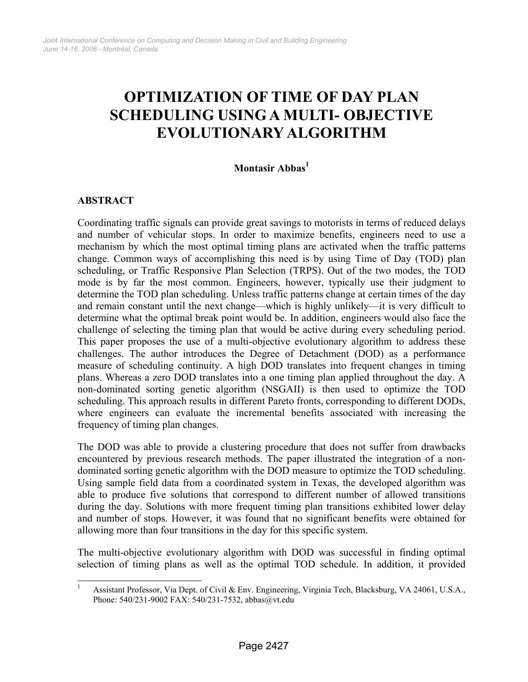# **OPTIMIZATION OF TIME OF DAY PLAN SCHEDULING USING A MULTI- OBJECTIVE EVOLUTIONARY ALGORITHM**

# **Montasir Abbas<sup>1</sup>**

## **ABSTRACT**

 $\overline{a}$ 

Coordinating traffic signals can provide great savings to motorists in terms of reduced delays and number of vehicular stops. In order to maximize benefits, engineers need to use a mechanism by which the most optimal timing plans are activated when the traffic patterns change. Common ways of accomplishing this need is by using Time of Day (TOD) plan scheduling, or Traffic Responsive Plan Selection (TRPS). Out of the two modes, the TOD mode is by far the most common. Engineers, however, typically use their judgment to determine the TOD plan scheduling. Unless traffic patterns change at certain times of the day and remain constant until the next change—which is highly unlikely—it is very difficult to determine what the optimal break point would be. In addition, engineers would also face the challenge of selecting the timing plan that would be active during every scheduling period. This paper proposes the use of a multi-objective evolutionary algorithm to address these challenges. The author introduces the Degree of Detachment (DOD) as a performance measure of scheduling continuity. A high DOD translates into frequent changes in timing plans. Whereas a zero DOD translates into a one timing plan applied throughout the day. A non-dominated sorting genetic algorithm (NSGAII) is then used to optimize the TOD scheduling. This approach results in different Pareto fronts, corresponding to different DODs, where engineers can evaluate the incremental benefits associated with increasing the frequency of timing plan changes.

The DOD was able to provide a clustering procedure that does not suffer from drawbacks encountered by previous research methods. The paper illustrated the integration of a nondominated sorting genetic algorithm with the DOD measure to optimize the TOD scheduling. Using sample field data from a coordinated system in Texas, the developed algorithm was able to produce five solutions that correspond to different number of allowed transitions during the day. Solutions with more frequent timing plan transitions exhibited lower delay and number of stops. However, it was found that no significant benefits were obtained for allowing more than four transitions in the day for this specific system.

The multi-objective evolutionary algorithm with DOD was successful in finding optimal selection of timing plans as well as the optimal TOD schedule. In addition, it provided

<sup>1</sup> Assistant Professor, Via Dept. of Civil & Env. Engineering, Virginia Tech, Blacksburg, VA 24061, U.S.A., Phone: 540/231-9002 FAX: 540/231-7532, abbas@vt.edu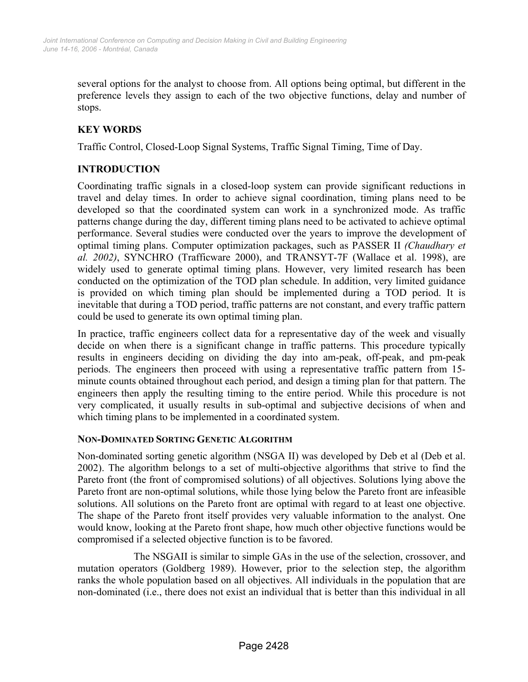several options for the analyst to choose from. All options being optimal, but different in the preference levels they assign to each of the two objective functions, delay and number of stops.

# **KEY WORDS**

Traffic Control, Closed-Loop Signal Systems, Traffic Signal Timing, Time of Day.

## **INTRODUCTION**

Coordinating traffic signals in a closed-loop system can provide significant reductions in travel and delay times. In order to achieve signal coordination, timing plans need to be developed so that the coordinated system can work in a synchronized mode. As traffic patterns change during the day, different timing plans need to be activated to achieve optimal performance. Several studies were conducted over the years to improve the development of optimal timing plans. Computer optimization packages, such as PASSER II *(Chaudhary et al. 2002)*, SYNCHRO (Trafficware 2000), and TRANSYT-7F (Wallace et al. 1998), are widely used to generate optimal timing plans. However, very limited research has been conducted on the optimization of the TOD plan schedule. In addition, very limited guidance is provided on which timing plan should be implemented during a TOD period. It is inevitable that during a TOD period, traffic patterns are not constant, and every traffic pattern could be used to generate its own optimal timing plan.

In practice, traffic engineers collect data for a representative day of the week and visually decide on when there is a significant change in traffic patterns. This procedure typically results in engineers deciding on dividing the day into am-peak, off-peak, and pm-peak periods. The engineers then proceed with using a representative traffic pattern from 15 minute counts obtained throughout each period, and design a timing plan for that pattern. The engineers then apply the resulting timing to the entire period. While this procedure is not very complicated, it usually results in sub-optimal and subjective decisions of when and which timing plans to be implemented in a coordinated system.

## **NON-DOMINATED SORTING GENETIC ALGORITHM**

Non-dominated sorting genetic algorithm (NSGA II) was developed by Deb et al (Deb et al. 2002). The algorithm belongs to a set of multi-objective algorithms that strive to find the Pareto front (the front of compromised solutions) of all objectives. Solutions lying above the Pareto front are non-optimal solutions, while those lying below the Pareto front are infeasible solutions. All solutions on the Pareto front are optimal with regard to at least one objective. The shape of the Pareto front itself provides very valuable information to the analyst. One would know, looking at the Pareto front shape, how much other objective functions would be compromised if a selected objective function is to be favored.

 The NSGAII is similar to simple GAs in the use of the selection, crossover, and mutation operators (Goldberg 1989). However, prior to the selection step, the algorithm ranks the whole population based on all objectives. All individuals in the population that are non-dominated (i.e., there does not exist an individual that is better than this individual in all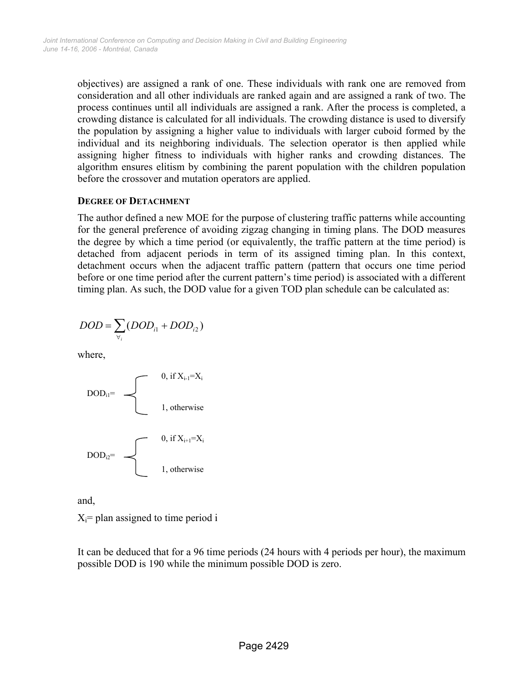objectives) are assigned a rank of one. These individuals with rank one are removed from consideration and all other individuals are ranked again and are assigned a rank of two. The process continues until all individuals are assigned a rank. After the process is completed, a crowding distance is calculated for all individuals. The crowding distance is used to diversify the population by assigning a higher value to individuals with larger cuboid formed by the individual and its neighboring individuals. The selection operator is then applied while assigning higher fitness to individuals with higher ranks and crowding distances. The algorithm ensures elitism by combining the parent population with the children population before the crossover and mutation operators are applied.

#### **DEGREE OF DETACHMENT**

The author defined a new MOE for the purpose of clustering traffic patterns while accounting for the general preference of avoiding zigzag changing in timing plans. The DOD measures the degree by which a time period (or equivalently, the traffic pattern at the time period) is detached from adjacent periods in term of its assigned timing plan. In this context, detachment occurs when the adjacent traffic pattern (pattern that occurs one time period before or one time period after the current pattern's time period) is associated with a different timing plan. As such, the DOD value for a given TOD plan schedule can be calculated as:

$$
DOD = \sum_{\forall_i} (DOD_{i1} + DOD_{i2})
$$

where,



and,

 $X_i$ = plan assigned to time period i

It can be deduced that for a 96 time periods (24 hours with 4 periods per hour), the maximum possible DOD is 190 while the minimum possible DOD is zero.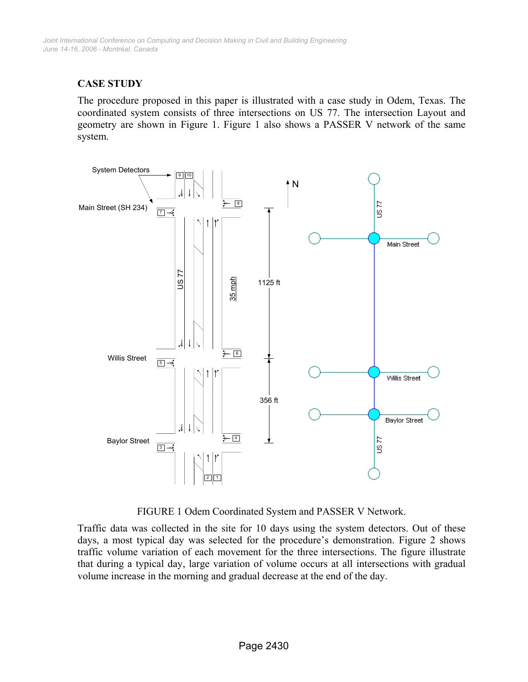# **CASE STUDY**

The procedure proposed in this paper is illustrated with a case study in Odem, Texas. The coordinated system consists of three intersections on US 77. The intersection Layout and geometry are shown in Figure 1. Figure 1 also shows a PASSER V network of the same system.



FIGURE 1 Odem Coordinated System and PASSER V Network.

Traffic data was collected in the site for 10 days using the system detectors. Out of these days, a most typical day was selected for the procedure's demonstration. Figure 2 shows traffic volume variation of each movement for the three intersections. The figure illustrate that during a typical day, large variation of volume occurs at all intersections with gradual volume increase in the morning and gradual decrease at the end of the day.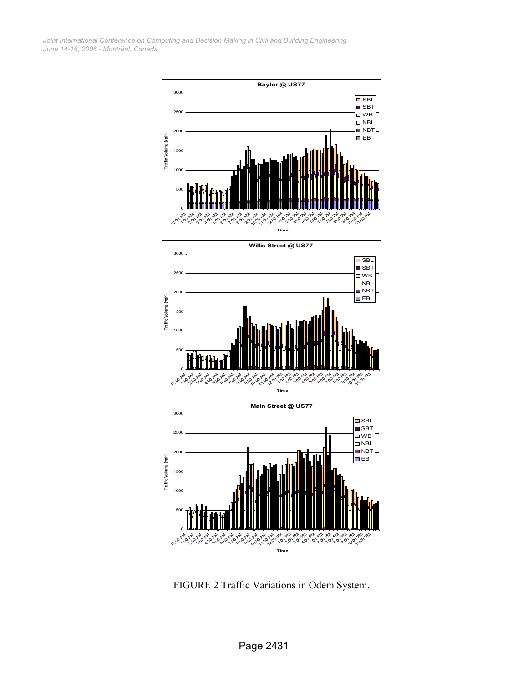*June 14-16, 2006 - Montréal, Canada Joint International Conference on Computing and Decision Making in Civil and Building Engineering*



FIGURE 2 Traffic Variations in Odem System.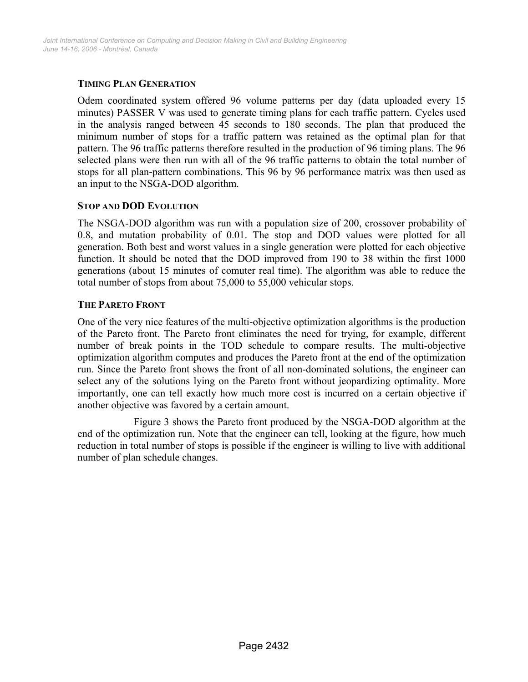## **TIMING PLAN GENERATION**

Odem coordinated system offered 96 volume patterns per day (data uploaded every 15 minutes) PASSER V was used to generate timing plans for each traffic pattern. Cycles used in the analysis ranged between 45 seconds to 180 seconds. The plan that produced the minimum number of stops for a traffic pattern was retained as the optimal plan for that pattern. The 96 traffic patterns therefore resulted in the production of 96 timing plans. The 96 selected plans were then run with all of the 96 traffic patterns to obtain the total number of stops for all plan-pattern combinations. This 96 by 96 performance matrix was then used as an input to the NSGA-DOD algorithm.

#### **STOP AND DOD EVOLUTION**

The NSGA-DOD algorithm was run with a population size of 200, crossover probability of 0.8, and mutation probability of 0.01. The stop and DOD values were plotted for all generation. Both best and worst values in a single generation were plotted for each objective function. It should be noted that the DOD improved from 190 to 38 within the first 1000 generations (about 15 minutes of comuter real time). The algorithm was able to reduce the total number of stops from about 75,000 to 55,000 vehicular stops.

## **THE PARETO FRONT**

One of the very nice features of the multi-objective optimization algorithms is the production of the Pareto front. The Pareto front eliminates the need for trying, for example, different number of break points in the TOD schedule to compare results. The multi-objective optimization algorithm computes and produces the Pareto front at the end of the optimization run. Since the Pareto front shows the front of all non-dominated solutions, the engineer can select any of the solutions lying on the Pareto front without jeopardizing optimality. More importantly, one can tell exactly how much more cost is incurred on a certain objective if another objective was favored by a certain amount.

 Figure 3 shows the Pareto front produced by the NSGA-DOD algorithm at the end of the optimization run. Note that the engineer can tell, looking at the figure, how much reduction in total number of stops is possible if the engineer is willing to live with additional number of plan schedule changes.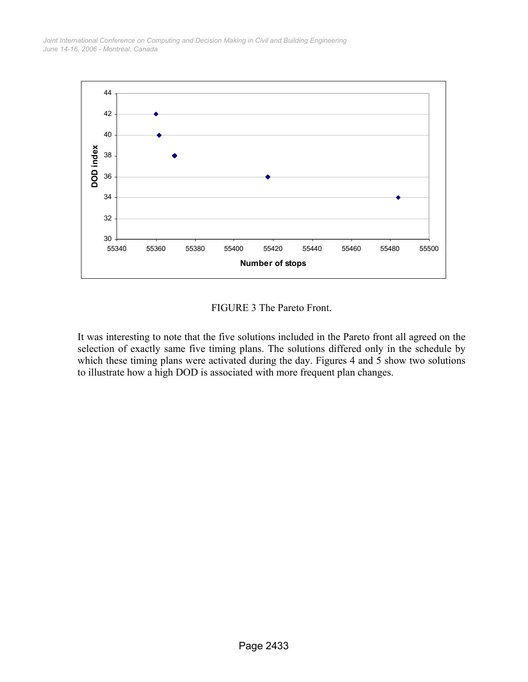*June 14-16, 2006 - Montréal, Canada Joint International Conference on Computing and Decision Making in Civil and Building Engineering*



FIGURE 3 The Pareto Front.

It was interesting to note that the five solutions included in the Pareto front all agreed on the selection of exactly same five timing plans. The solutions differed only in the schedule by which these timing plans were activated during the day. Figures 4 and 5 show two solutions to illustrate how a high DOD is associated with more frequent plan changes.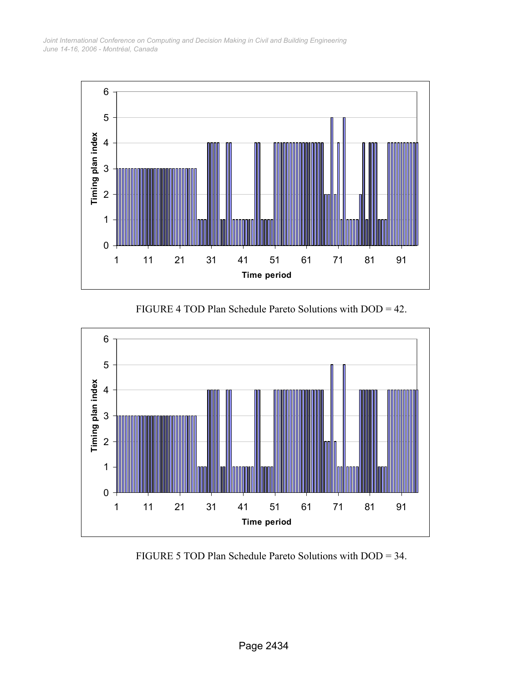

FIGURE 4 TOD Plan Schedule Pareto Solutions with DOD = 42.



FIGURE 5 TOD Plan Schedule Pareto Solutions with DOD = 34.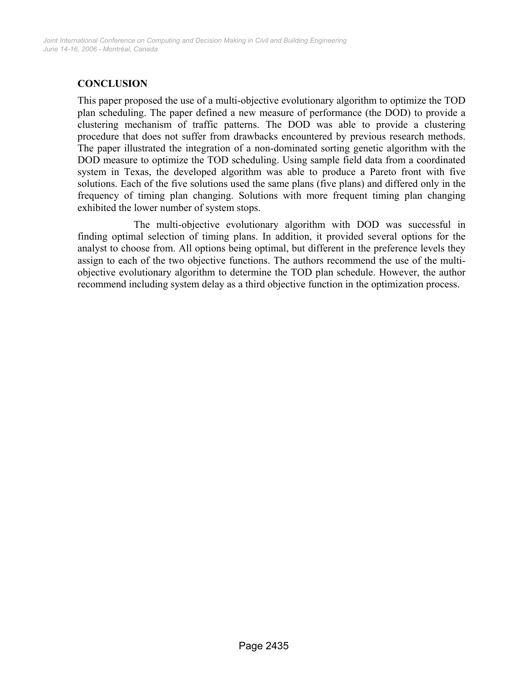# **CONCLUSION**

This paper proposed the use of a multi-objective evolutionary algorithm to optimize the TOD plan scheduling. The paper defined a new measure of performance (the DOD) to provide a clustering mechanism of traffic patterns. The DOD was able to provide a clustering procedure that does not suffer from drawbacks encountered by previous research methods. The paper illustrated the integration of a non-dominated sorting genetic algorithm with the DOD measure to optimize the TOD scheduling. Using sample field data from a coordinated system in Texas, the developed algorithm was able to produce a Pareto front with five solutions. Each of the five solutions used the same plans (five plans) and differed only in the frequency of timing plan changing. Solutions with more frequent timing plan changing exhibited the lower number of system stops.

 The multi-objective evolutionary algorithm with DOD was successful in finding optimal selection of timing plans. In addition, it provided several options for the analyst to choose from. All options being optimal, but different in the preference levels they assign to each of the two objective functions. The authors recommend the use of the multiobjective evolutionary algorithm to determine the TOD plan schedule. However, the author recommend including system delay as a third objective function in the optimization process.